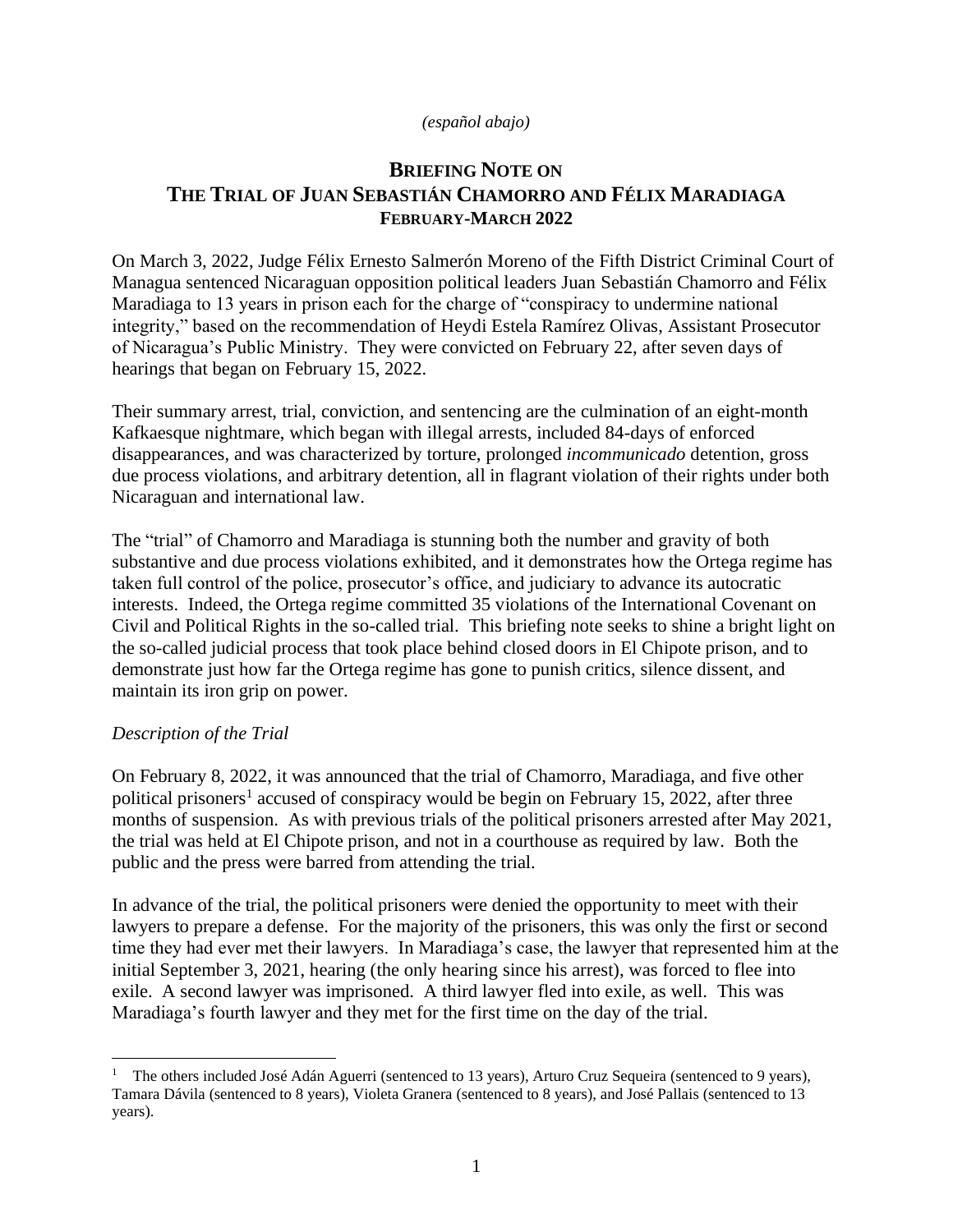#### *(español abajo)*

## **BRIEFING NOTE ON THE TRIAL OF JUAN SEBASTIÁN CHAMORRO AND FÉLIX MARADIAGA FEBRUARY-MARCH 2022**

On March 3, 2022, Judge Félix Ernesto Salmerón Moreno of the Fifth District Criminal Court of Managua sentenced Nicaraguan opposition political leaders Juan Sebastián Chamorro and Félix Maradiaga to 13 years in prison each for the charge of "conspiracy to undermine national integrity," based on the recommendation of Heydi Estela Ramírez Olivas, Assistant Prosecutor of Nicaragua's Public Ministry. They were convicted on February 22, after seven days of hearings that began on February 15, 2022.

Their summary arrest, trial, conviction, and sentencing are the culmination of an eight-month Kafkaesque nightmare, which began with illegal arrests, included 84-days of enforced disappearances, and was characterized by torture, prolonged *incommunicado* detention, gross due process violations, and arbitrary detention, all in flagrant violation of their rights under both Nicaraguan and international law.

The "trial" of Chamorro and Maradiaga is stunning both the number and gravity of both substantive and due process violations exhibited, and it demonstrates how the Ortega regime has taken full control of the police, prosecutor's office, and judiciary to advance its autocratic interests. Indeed, the Ortega regime committed 35 violations of the International Covenant on Civil and Political Rights in the so-called trial. This briefing note seeks to shine a bright light on the so-called judicial process that took place behind closed doors in El Chipote prison, and to demonstrate just how far the Ortega regime has gone to punish critics, silence dissent, and maintain its iron grip on power.

### *Description of the Trial*

On February 8, 2022, it was announced that the trial of Chamorro, Maradiaga, and five other political prisoners<sup>1</sup> accused of conspiracy would be begin on February 15, 2022, after three months of suspension. As with previous trials of the political prisoners arrested after May 2021, the trial was held at El Chipote prison, and not in a courthouse as required by law. Both the public and the press were barred from attending the trial.

In advance of the trial, the political prisoners were denied the opportunity to meet with their lawyers to prepare a defense. For the majority of the prisoners, this was only the first or second time they had ever met their lawyers. In Maradiaga's case, the lawyer that represented him at the initial September 3, 2021, hearing (the only hearing since his arrest), was forced to flee into exile. A second lawyer was imprisoned. A third lawyer fled into exile, as well. This was Maradiaga's fourth lawyer and they met for the first time on the day of the trial.

<sup>1</sup> The others included José Adán Aguerri (sentenced to 13 years), Arturo Cruz Sequeira (sentenced to 9 years), Tamara Dávila (sentenced to 8 years), Violeta Granera (sentenced to 8 years), and José Pallais (sentenced to 13 years).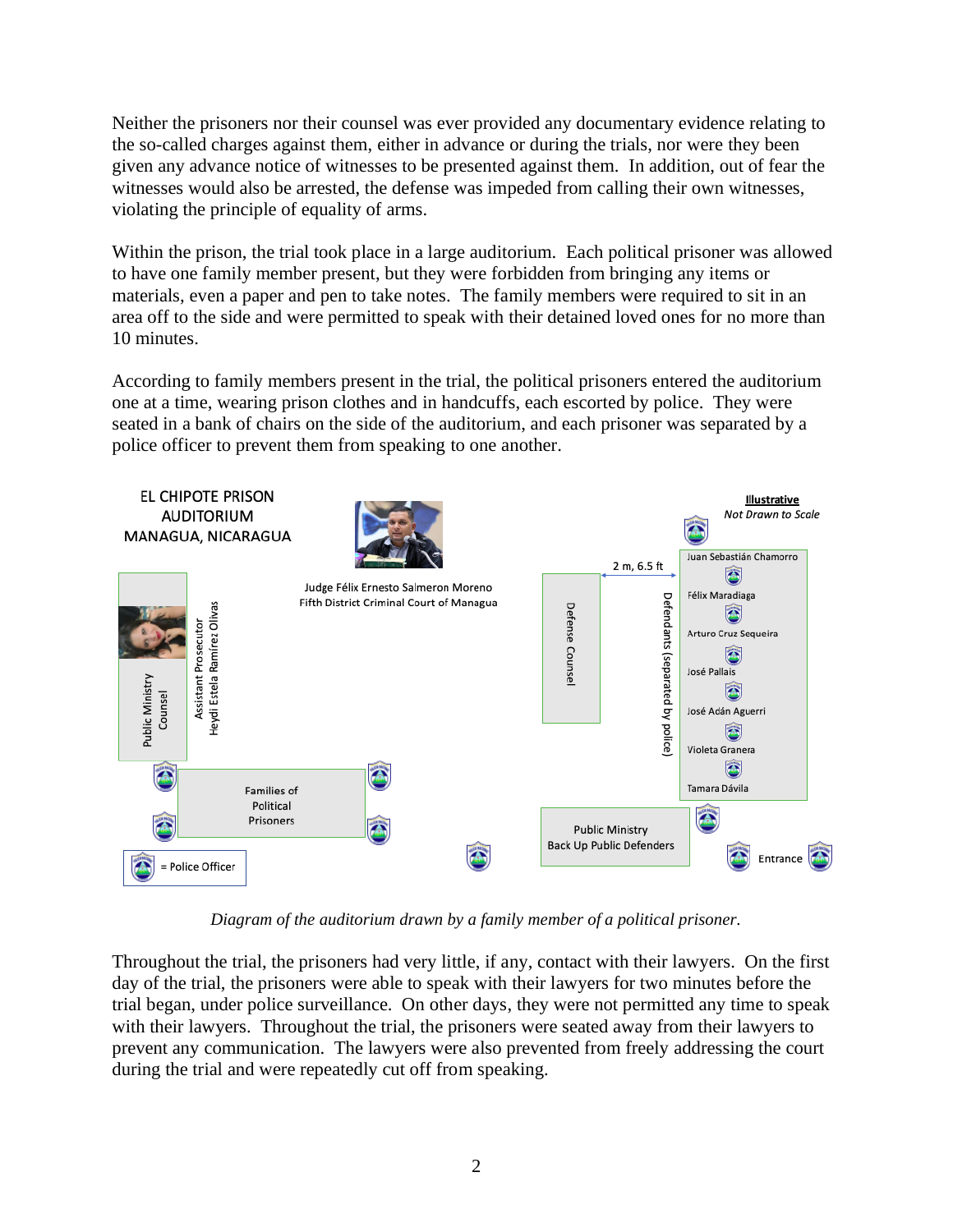Neither the prisoners nor their counsel was ever provided any documentary evidence relating to the so-called charges against them, either in advance or during the trials, nor were they been given any advance notice of witnesses to be presented against them. In addition, out of fear the witnesses would also be arrested, the defense was impeded from calling their own witnesses, violating the principle of equality of arms.

Within the prison, the trial took place in a large auditorium. Each political prisoner was allowed to have one family member present, but they were forbidden from bringing any items or materials, even a paper and pen to take notes. The family members were required to sit in an area off to the side and were permitted to speak with their detained loved ones for no more than 10 minutes.

According to family members present in the trial, the political prisoners entered the auditorium one at a time, wearing prison clothes and in handcuffs, each escorted by police. They were seated in a bank of chairs on the side of the auditorium, and each prisoner was separated by a police officer to prevent them from speaking to one another.



*Diagram of the auditorium drawn by a family member of a political prisoner.*

Throughout the trial, the prisoners had very little, if any, contact with their lawyers. On the first day of the trial, the prisoners were able to speak with their lawyers for two minutes before the trial began, under police surveillance. On other days, they were not permitted any time to speak with their lawyers. Throughout the trial, the prisoners were seated away from their lawyers to prevent any communication. The lawyers were also prevented from freely addressing the court during the trial and were repeatedly cut off from speaking.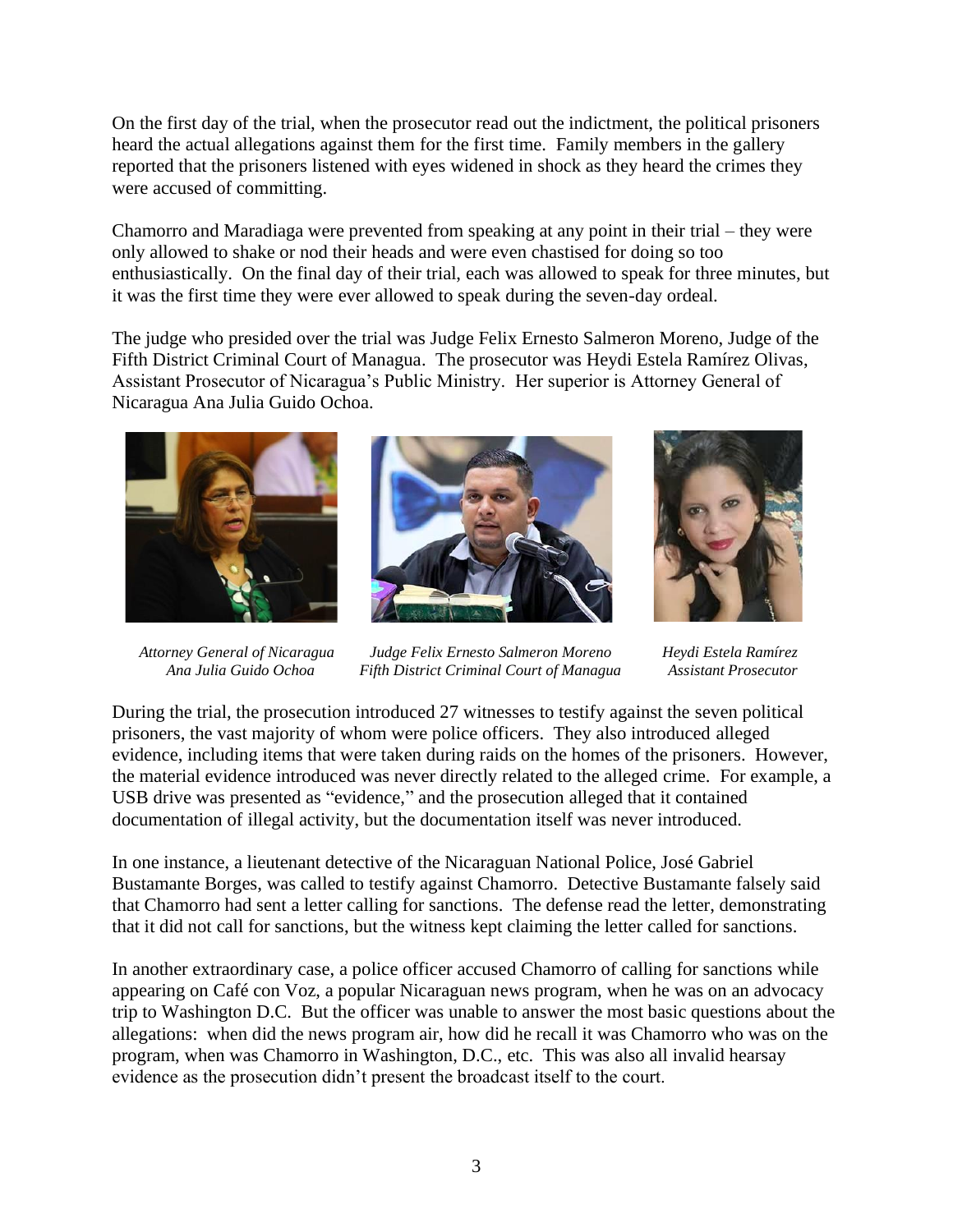On the first day of the trial, when the prosecutor read out the indictment, the political prisoners heard the actual allegations against them for the first time. Family members in the gallery reported that the prisoners listened with eyes widened in shock as they heard the crimes they were accused of committing.

Chamorro and Maradiaga were prevented from speaking at any point in their trial – they were only allowed to shake or nod their heads and were even chastised for doing so too enthusiastically. On the final day of their trial, each was allowed to speak for three minutes, but it was the first time they were ever allowed to speak during the seven-day ordeal.

The judge who presided over the trial was Judge Felix Ernesto Salmeron Moreno, Judge of the Fifth District Criminal Court of Managua. The prosecutor was Heydi Estela Ramírez Olivas, Assistant Prosecutor of Nicaragua's Public Ministry. Her superior is Attorney General of Nicaragua Ana Julia Guido Ochoa.







 *Attorney General of Nicaragua Judge Felix Ernesto Salmeron Moreno Heydi Estela Ramírez Ana Julia Guido Ochoa Fifth District Criminal Court of Managua Assistant Prosecutor* 

During the trial, the prosecution introduced 27 witnesses to testify against the seven political prisoners, the vast majority of whom were police officers. They also introduced alleged evidence, including items that were taken during raids on the homes of the prisoners. However, the material evidence introduced was never directly related to the alleged crime. For example, a USB drive was presented as "evidence," and the prosecution alleged that it contained documentation of illegal activity, but the documentation itself was never introduced.

In one instance, a lieutenant detective of the Nicaraguan National Police, José Gabriel Bustamante Borges, was called to testify against Chamorro. Detective Bustamante falsely said that Chamorro had sent a letter calling for sanctions. The defense read the letter, demonstrating that it did not call for sanctions, but the witness kept claiming the letter called for sanctions.

In another extraordinary case, a police officer accused Chamorro of calling for sanctions while appearing on Café con Voz, a popular Nicaraguan news program, when he was on an advocacy trip to Washington D.C. But the officer was unable to answer the most basic questions about the allegations: when did the news program air, how did he recall it was Chamorro who was on the program, when was Chamorro in Washington, D.C., etc. This was also all invalid hearsay evidence as the prosecution didn't present the broadcast itself to the court.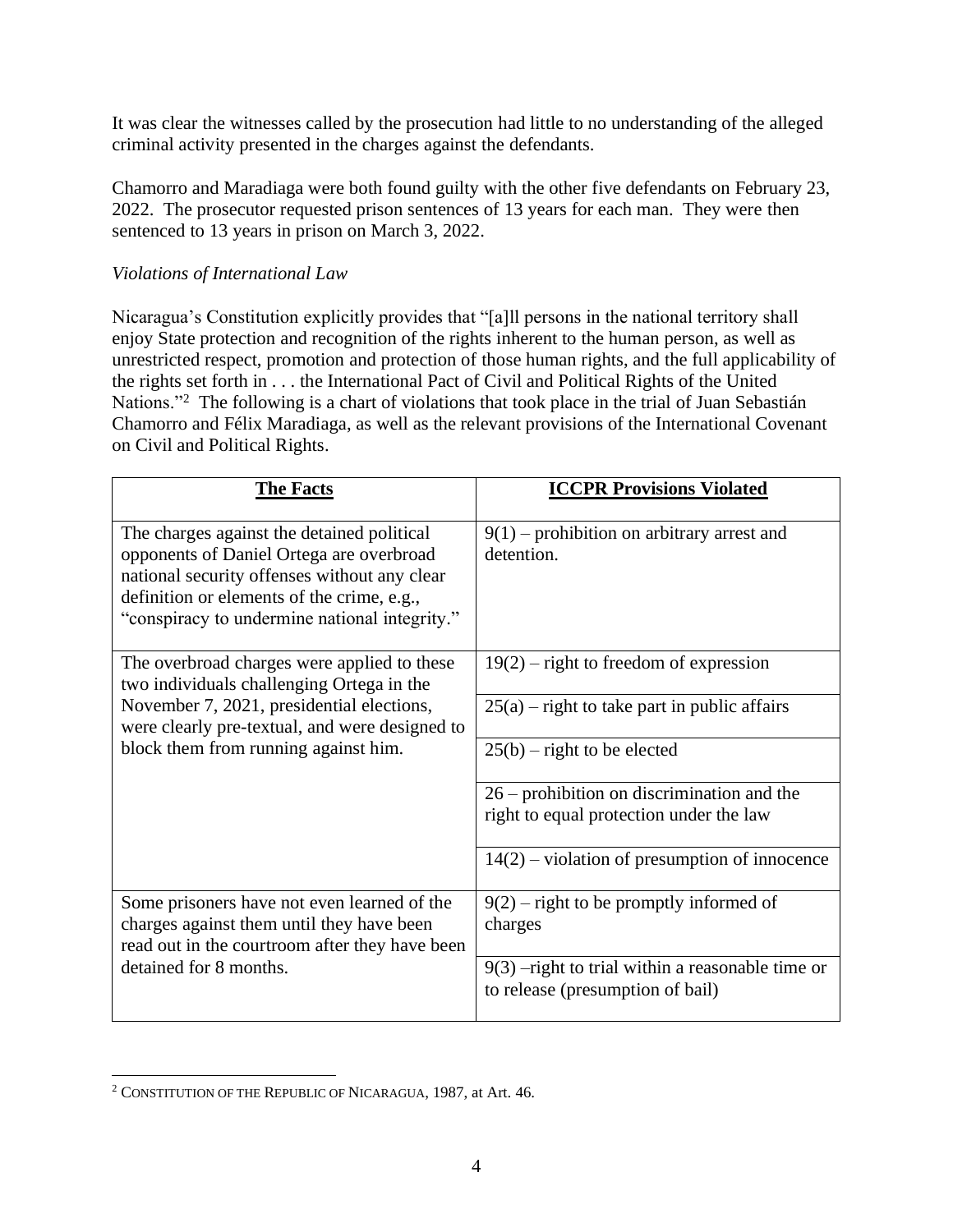It was clear the witnesses called by the prosecution had little to no understanding of the alleged criminal activity presented in the charges against the defendants.

Chamorro and Maradiaga were both found guilty with the other five defendants on February 23, 2022. The prosecutor requested prison sentences of 13 years for each man. They were then sentenced to 13 years in prison on March 3, 2022.

### *Violations of International Law*

Nicaragua's Constitution explicitly provides that "[a]ll persons in the national territory shall enjoy State protection and recognition of the rights inherent to the human person, as well as unrestricted respect, promotion and protection of those human rights, and the full applicability of the rights set forth in . . . the International Pact of Civil and Political Rights of the United Nations."<sup>2</sup> The following is a chart of violations that took place in the trial of Juan Sebastián Chamorro and Félix Maradiaga, as well as the relevant provisions of the International Covenant on Civil and Political Rights.

| <b>The Facts</b>                                                                                                                                                                                                                      | <b>ICCPR Provisions Violated</b>                                                        |
|---------------------------------------------------------------------------------------------------------------------------------------------------------------------------------------------------------------------------------------|-----------------------------------------------------------------------------------------|
| The charges against the detained political<br>opponents of Daniel Ortega are overbroad<br>national security offenses without any clear<br>definition or elements of the crime, e.g.,<br>"conspiracy to undermine national integrity." | $9(1)$ – prohibition on arbitrary arrest and<br>detention.                              |
| The overbroad charges were applied to these<br>two individuals challenging Ortega in the<br>November 7, 2021, presidential elections,<br>were clearly pre-textual, and were designed to<br>block them from running against him.       | $19(2)$ – right to freedom of expression                                                |
|                                                                                                                                                                                                                                       | $25(a)$ – right to take part in public affairs                                          |
|                                                                                                                                                                                                                                       | $25(b)$ – right to be elected                                                           |
|                                                                                                                                                                                                                                       | $26$ – prohibition on discrimination and the<br>right to equal protection under the law |
|                                                                                                                                                                                                                                       | $14(2)$ – violation of presumption of innocence                                         |
| Some prisoners have not even learned of the<br>charges against them until they have been<br>read out in the courtroom after they have been<br>detained for 8 months.                                                                  | $9(2)$ – right to be promptly informed of<br>charges                                    |
|                                                                                                                                                                                                                                       | $9(3)$ -right to trial within a reasonable time or<br>to release (presumption of bail)  |

<sup>2</sup> CONSTITUTION OF THE REPUBLIC OF NICARAGUA, 1987, at Art. 46.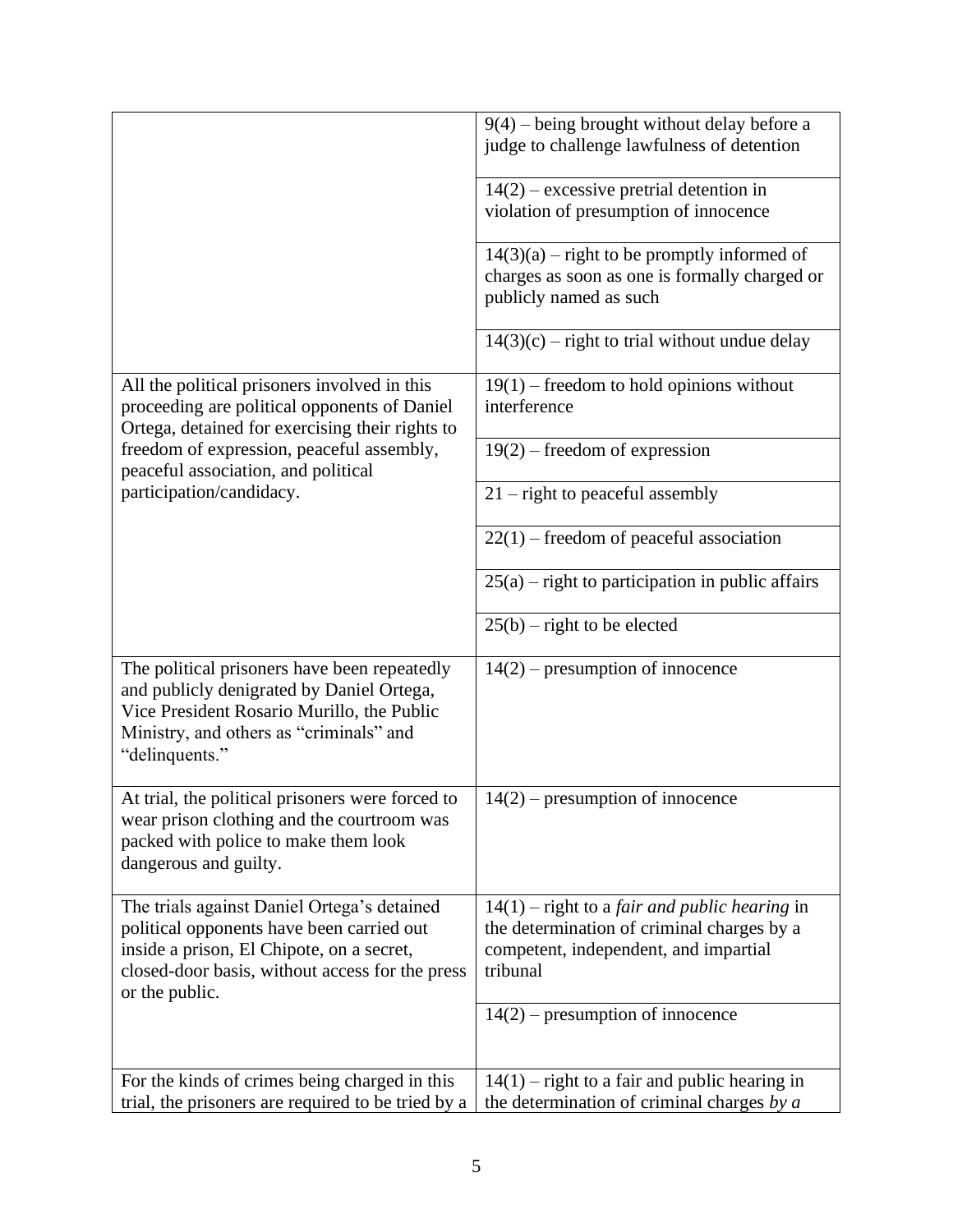|                                                                                                                                                                                                            | $9(4)$ – being brought without delay before a<br>judge to challenge lawfulness of detention                                                               |
|------------------------------------------------------------------------------------------------------------------------------------------------------------------------------------------------------------|-----------------------------------------------------------------------------------------------------------------------------------------------------------|
|                                                                                                                                                                                                            | $14(2)$ – excessive pretrial detention in<br>violation of presumption of innocence                                                                        |
|                                                                                                                                                                                                            | $14(3)(a)$ – right to be promptly informed of<br>charges as soon as one is formally charged or<br>publicly named as such                                  |
|                                                                                                                                                                                                            | $14(3)(c)$ – right to trial without undue delay                                                                                                           |
| All the political prisoners involved in this<br>proceeding are political opponents of Daniel<br>Ortega, detained for exercising their rights to                                                            | $19(1)$ – freedom to hold opinions without<br>interference                                                                                                |
| freedom of expression, peaceful assembly,<br>peaceful association, and political                                                                                                                           | $19(2)$ – freedom of expression                                                                                                                           |
| participation/candidacy.                                                                                                                                                                                   | $21$ – right to peaceful assembly                                                                                                                         |
|                                                                                                                                                                                                            | $22(1)$ – freedom of peaceful association                                                                                                                 |
|                                                                                                                                                                                                            | $25(a)$ – right to participation in public affairs                                                                                                        |
|                                                                                                                                                                                                            | $25(b)$ – right to be elected                                                                                                                             |
| The political prisoners have been repeatedly<br>and publicly denigrated by Daniel Ortega,<br>Vice President Rosario Murillo, the Public<br>Ministry, and others as "criminals" and<br>"delinquents."       | $14(2)$ – presumption of innocence                                                                                                                        |
| At trial, the political prisoners were forced to<br>wear prison clothing and the courtroom was<br>packed with police to make them look<br>dangerous and guilty.                                            | $14(2)$ – presumption of innocence                                                                                                                        |
| The trials against Daniel Ortega's detained<br>political opponents have been carried out<br>inside a prison, El Chipote, on a secret,<br>closed-door basis, without access for the press<br>or the public. | $14(1)$ – right to a <i>fair and public hearing</i> in<br>the determination of criminal charges by a<br>competent, independent, and impartial<br>tribunal |
|                                                                                                                                                                                                            | $14(2)$ – presumption of innocence                                                                                                                        |
| For the kinds of crimes being charged in this<br>trial, the prisoners are required to be tried by a                                                                                                        | $14(1)$ – right to a fair and public hearing in<br>the determination of criminal charges by $a$                                                           |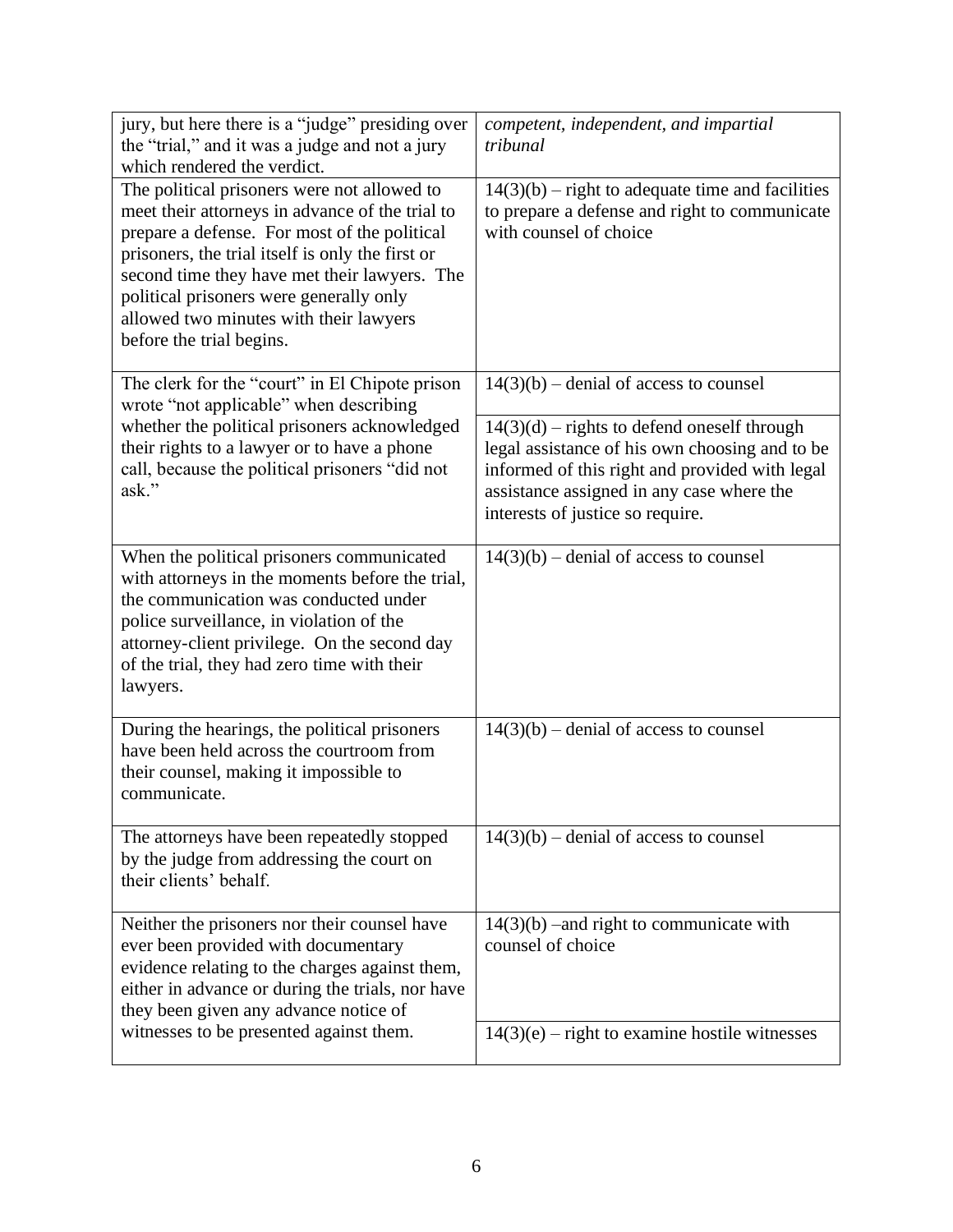| jury, but here there is a "judge" presiding over<br>the "trial," and it was a judge and not a jury<br>which rendered the verdict.                                                                                                                                                                                                                                   | competent, independent, and impartial<br>tribunal                                                                                                                                                                                  |
|---------------------------------------------------------------------------------------------------------------------------------------------------------------------------------------------------------------------------------------------------------------------------------------------------------------------------------------------------------------------|------------------------------------------------------------------------------------------------------------------------------------------------------------------------------------------------------------------------------------|
| The political prisoners were not allowed to<br>meet their attorneys in advance of the trial to<br>prepare a defense. For most of the political<br>prisoners, the trial itself is only the first or<br>second time they have met their lawyers. The<br>political prisoners were generally only<br>allowed two minutes with their lawyers<br>before the trial begins. | $14(3)(b)$ – right to adequate time and facilities<br>to prepare a defense and right to communicate<br>with counsel of choice                                                                                                      |
| The clerk for the "court" in El Chipote prison<br>wrote "not applicable" when describing                                                                                                                                                                                                                                                                            | $14(3)(b)$ – denial of access to counsel                                                                                                                                                                                           |
| whether the political prisoners acknowledged<br>their rights to a lawyer or to have a phone<br>call, because the political prisoners "did not<br>ask."                                                                                                                                                                                                              | $14(3)(d)$ – rights to defend oneself through<br>legal assistance of his own choosing and to be<br>informed of this right and provided with legal<br>assistance assigned in any case where the<br>interests of justice so require. |
| When the political prisoners communicated<br>with attorneys in the moments before the trial,<br>the communication was conducted under<br>police surveillance, in violation of the<br>attorney-client privilege. On the second day<br>of the trial, they had zero time with their<br>lawyers.                                                                        | $14(3)(b)$ – denial of access to counsel                                                                                                                                                                                           |
| During the hearings, the political prisoners<br>have been held across the courtroom from<br>their counsel, making it impossible to<br>communicate.                                                                                                                                                                                                                  | $14(3)(b)$ – denial of access to counsel                                                                                                                                                                                           |
| The attorneys have been repeatedly stopped<br>by the judge from addressing the court on<br>their clients' behalf.                                                                                                                                                                                                                                                   | $14(3)(b)$ – denial of access to counsel                                                                                                                                                                                           |
| Neither the prisoners nor their counsel have<br>ever been provided with documentary<br>evidence relating to the charges against them,<br>either in advance or during the trials, nor have<br>they been given any advance notice of                                                                                                                                  | $14(3)(b)$ –and right to communicate with<br>counsel of choice                                                                                                                                                                     |
| witnesses to be presented against them.                                                                                                                                                                                                                                                                                                                             | $14(3)(e)$ – right to examine hostile witnesses                                                                                                                                                                                    |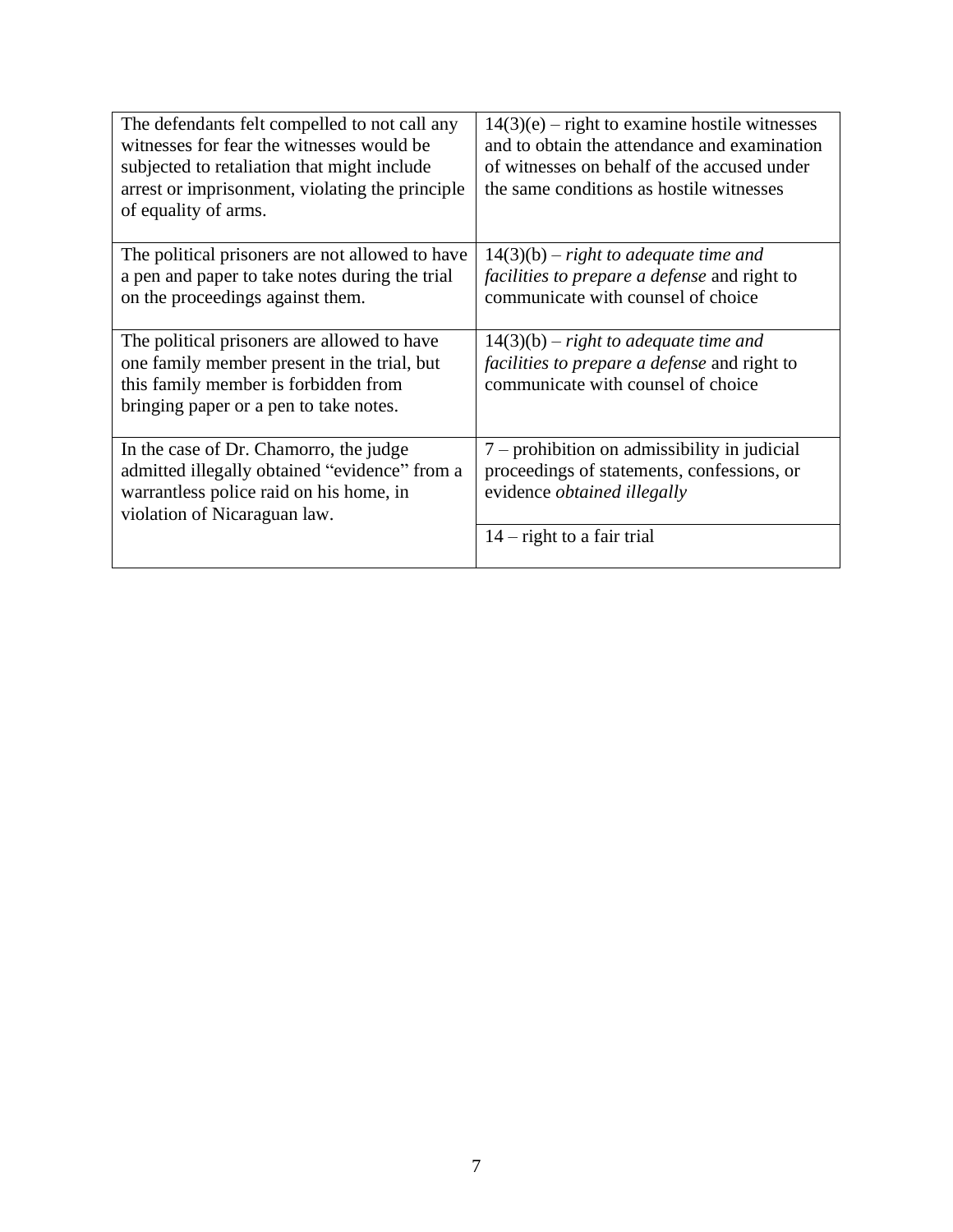| The defendants felt compelled to not call any<br>witnesses for fear the witnesses would be<br>subjected to retaliation that might include<br>arrest or imprisonment, violating the principle<br>of equality of arms. | $14(3)(e)$ – right to examine hostile witnesses<br>and to obtain the attendance and examination<br>of witnesses on behalf of the accused under<br>the same conditions as hostile witnesses |
|----------------------------------------------------------------------------------------------------------------------------------------------------------------------------------------------------------------------|--------------------------------------------------------------------------------------------------------------------------------------------------------------------------------------------|
| The political prisoners are not allowed to have<br>a pen and paper to take notes during the trial<br>on the proceedings against them.                                                                                | $14(3)(b)$ – right to adequate time and<br><i>facilities to prepare a defense and right to</i><br>communicate with counsel of choice                                                       |
| The political prisoners are allowed to have<br>one family member present in the trial, but<br>this family member is forbidden from<br>bringing paper or a pen to take notes.                                         | $14(3)(b)$ – right to adequate time and<br><i>facilities to prepare a defense and right to</i><br>communicate with counsel of choice                                                       |
| In the case of Dr. Chamorro, the judge<br>admitted illegally obtained "evidence" from a<br>warrantless police raid on his home, in<br>violation of Nicaraguan law.                                                   | $7$ – prohibition on admissibility in judicial<br>proceedings of statements, confessions, or<br>evidence <i>obtained illegally</i>                                                         |
|                                                                                                                                                                                                                      | $14$ – right to a fair trial                                                                                                                                                               |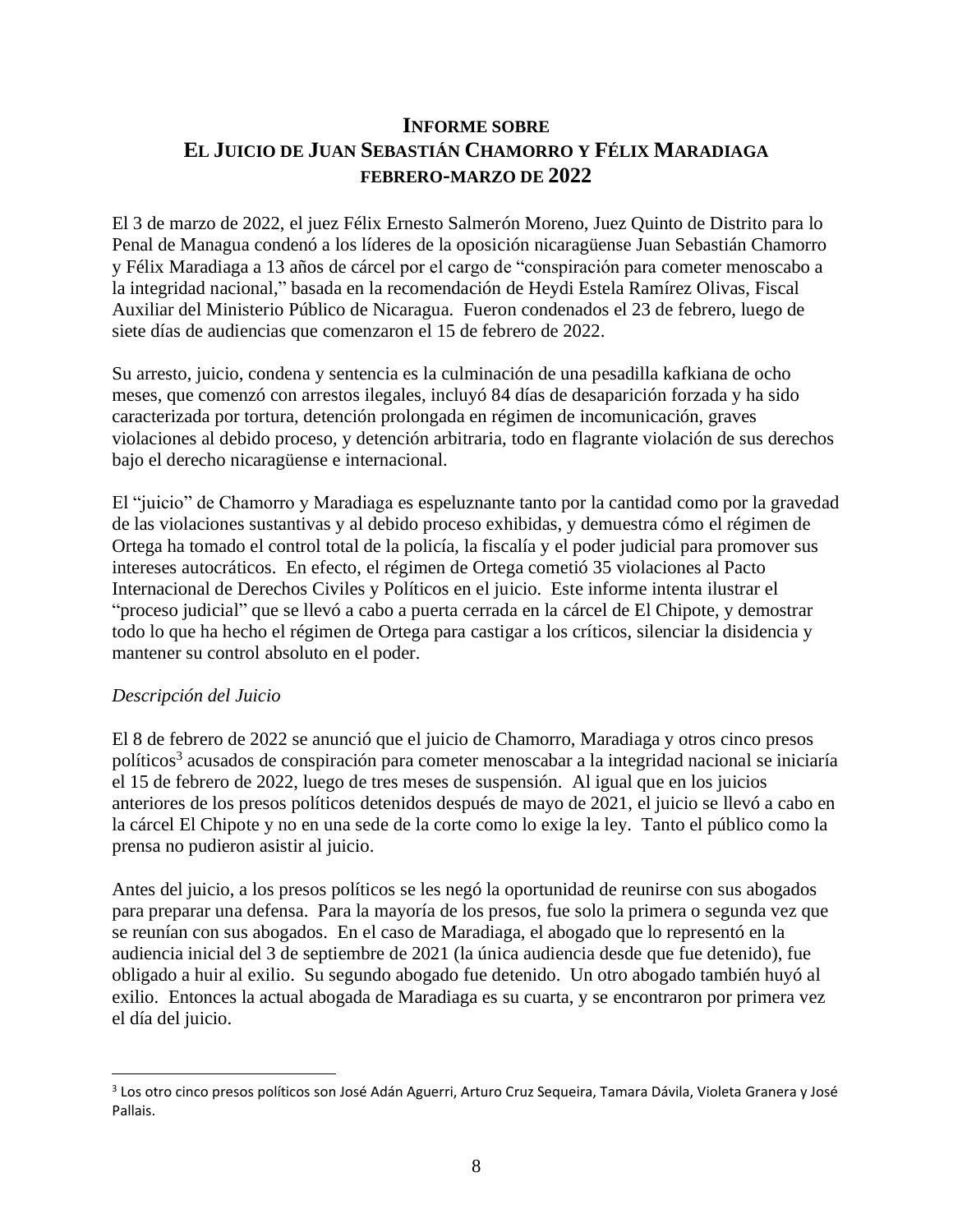# **INFORME SOBRE EL JUICIO DE JUAN SEBASTIÁN CHAMORRO Y FÉLIX MARADIAGA FEBRERO-MARZO DE 2022**

El 3 de marzo de 2022, el juez Félix Ernesto Salmerón Moreno, Juez Quinto de Distrito para lo Penal de Managua condenó a los líderes de la oposición nicaragüense Juan Sebastián Chamorro y Félix Maradiaga a 13 años de cárcel por el cargo de "conspiración para cometer menoscabo a la integridad nacional," basada en la recomendación de Heydi Estela Ramírez Olivas, Fiscal Auxiliar del Ministerio Público de Nicaragua. Fueron condenados el 23 de febrero, luego de siete días de audiencias que comenzaron el 15 de febrero de 2022.

Su arresto, juicio, condena y sentencia es la culminación de una pesadilla kafkiana de ocho meses, que comenzó con arrestos ilegales, incluyó 84 días de desaparición forzada y ha sido caracterizada por tortura, detención prolongada en régimen de incomunicación, graves violaciones al debido proceso, y detención arbitraria, todo en flagrante violación de sus derechos bajo el derecho nicaragüense e internacional.

El "juicio" de Chamorro y Maradiaga es espeluznante tanto por la cantidad como por la gravedad de las violaciones sustantivas y al debido proceso exhibidas, y demuestra cómo el régimen de Ortega ha tomado el control total de la policía, la fiscalía y el poder judicial para promover sus intereses autocráticos. En efecto, el régimen de Ortega cometió 35 violaciones al Pacto Internacional de Derechos Civiles y Políticos en el juicio. Este informe intenta ilustrar el "proceso judicial" que se llevó a cabo a puerta cerrada en la cárcel de El Chipote, y demostrar todo lo que ha hecho el régimen de Ortega para castigar a los críticos, silenciar la disidencia y mantener su control absoluto en el poder.

### *Descripción del Juicio*

El 8 de febrero de 2022 se anunció que el juicio de Chamorro, Maradiaga y otros cinco presos políticos<sup>3</sup> acusados de conspiración para cometer menoscabar a la integridad nacional se iniciaría el 15 de febrero de 2022, luego de tres meses de suspensión. Al igual que en los juicios anteriores de los presos políticos detenidos después de mayo de 2021, el juicio se llevó a cabo en la cárcel El Chipote y no en una sede de la corte como lo exige la ley. Tanto el público como la prensa no pudieron asistir al juicio.

Antes del juicio, a los presos políticos se les negó la oportunidad de reunirse con sus abogados para preparar una defensa. Para la mayoría de los presos, fue solo la primera o segunda vez que se reunían con sus abogados. En el caso de Maradiaga, el abogado que lo representó en la audiencia inicial del 3 de septiembre de 2021 (la única audiencia desde que fue detenido), fue obligado a huir al exilio. Su segundo abogado fue detenido. Un otro abogado también huyó al exilio. Entonces la actual abogada de Maradiaga es su cuarta, y se encontraron por primera vez el día del juicio.

<sup>3</sup> Los otro cinco presos políticos son José Adán Aguerri, Arturo Cruz Sequeira, Tamara Dávila, Violeta Granera y José Pallais.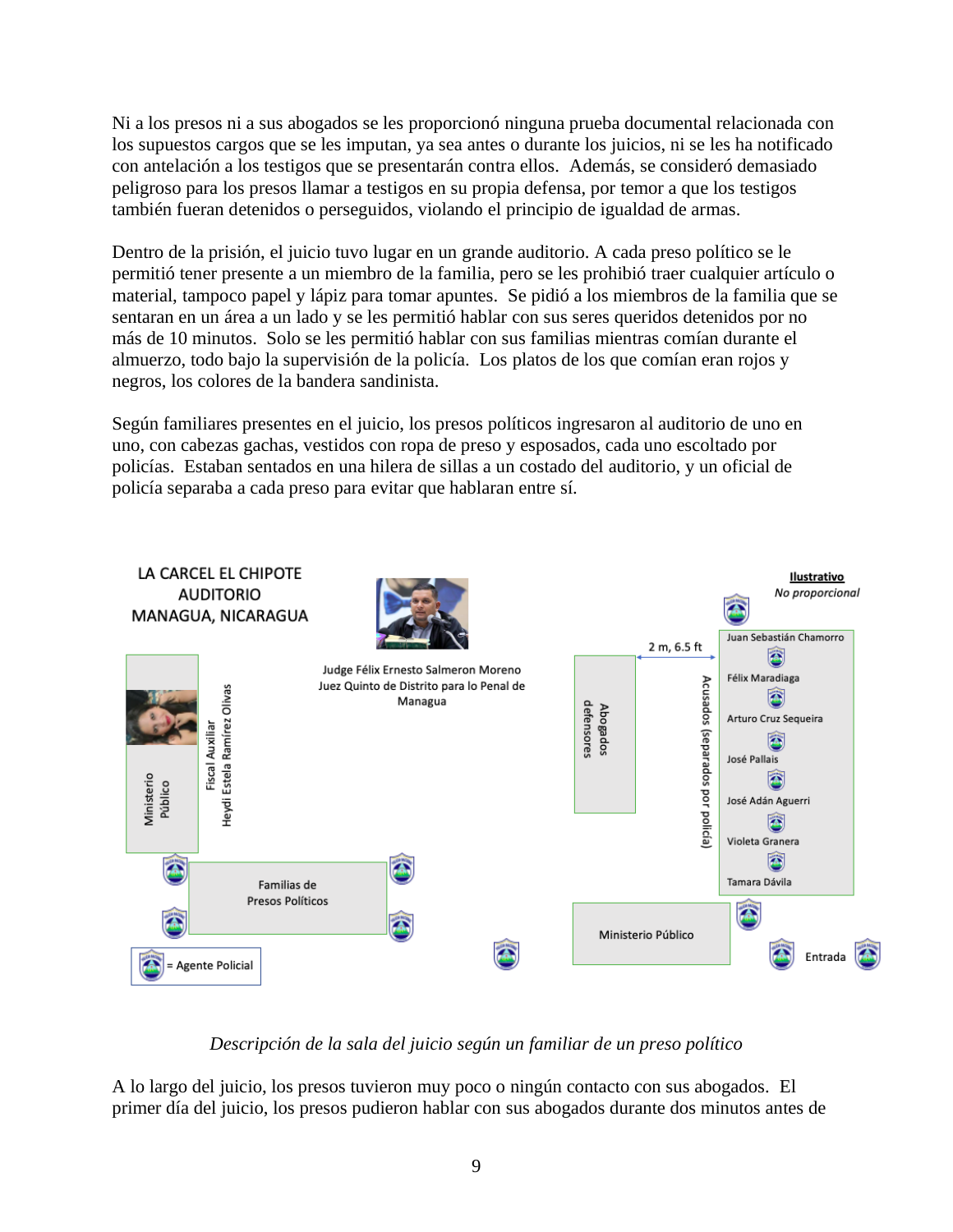Ni a los presos ni a sus abogados se les proporcionó ninguna prueba documental relacionada con los supuestos cargos que se les imputan, ya sea antes o durante los juicios, ni se les ha notificado con antelación a los testigos que se presentarán contra ellos. Además, se consideró demasiado peligroso para los presos llamar a testigos en su propia defensa, por temor a que los testigos también fueran detenidos o perseguidos, violando el principio de igualdad de armas.

Dentro de la prisión, el juicio tuvo lugar en un grande auditorio. A cada preso político se le permitió tener presente a un miembro de la familia, pero se les prohibió traer cualquier artículo o material, tampoco papel y lápiz para tomar apuntes. Se pidió a los miembros de la familia que se sentaran en un área a un lado y se les permitió hablar con sus seres queridos detenidos por no más de 10 minutos. Solo se les permitió hablar con sus familias mientras comían durante el almuerzo, todo bajo la supervisión de la policía. Los platos de los que comían eran rojos y negros, los colores de la bandera sandinista.

Según familiares presentes en el juicio, los presos políticos ingresaron al auditorio de uno en uno, con cabezas gachas, vestidos con ropa de preso y esposados, cada uno escoltado por policías. Estaban sentados en una hilera de sillas a un costado del auditorio, y un oficial de policía separaba a cada preso para evitar que hablaran entre sí.



## *Descripción de la sala del juicio según un familiar de un preso político*

A lo largo del juicio, los presos tuvieron muy poco o ningún contacto con sus abogados. El primer día del juicio, los presos pudieron hablar con sus abogados durante dos minutos antes de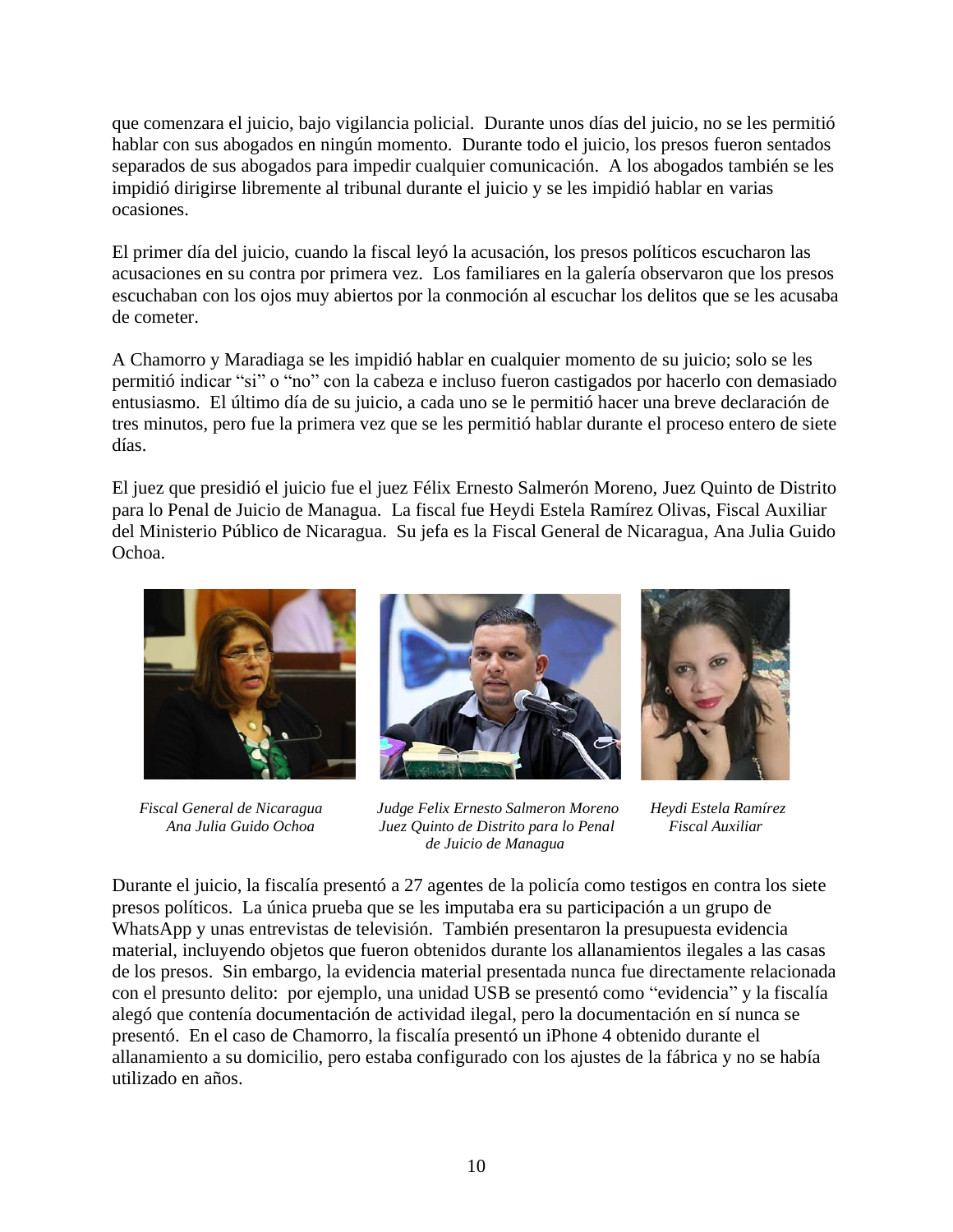que comenzara el juicio, bajo vigilancia policial. Durante unos días del juicio, no se les permitió hablar con sus abogados en ningún momento. Durante todo el juicio, los presos fueron sentados separados de sus abogados para impedir cualquier comunicación. A los abogados también se les impidió dirigirse libremente al tribunal durante el juicio y se les impidió hablar en varias ocasiones.

El primer día del juicio, cuando la fiscal leyó la acusación, los presos políticos escucharon las acusaciones en su contra por primera vez. Los familiares en la galería observaron que los presos escuchaban con los ojos muy abiertos por la conmoción al escuchar los delitos que se les acusaba de cometer.

A Chamorro y Maradiaga se les impidió hablar en cualquier momento de su juicio; solo se les permitió indicar "si" o "no" con la cabeza e incluso fueron castigados por hacerlo con demasiado entusiasmo. El último día de su juicio, a cada uno se le permitió hacer una breve declaración de tres minutos, pero fue la primera vez que se les permitió hablar durante el proceso entero de siete días.

El juez que presidió el juicio fue el juez Félix Ernesto Salmerón Moreno, Juez Quinto de Distrito para lo Penal de Juicio de Managua. La fiscal fue Heydi Estela Ramírez Olivas, Fiscal Auxiliar del Ministerio Público de Nicaragua. Su jefa es la Fiscal General de Nicaragua, Ana Julia Guido Ochoa.





 *Fiscal General de Nicaragua Judge Felix Ernesto Salmeron Moreno Heydi Estela Ramírez Ana Julia Guido Ochoa Juez Quinto de Distrito para lo Penal Fiscal Auxiliar de Juicio de Managua*



Durante el juicio, la fiscalía presentó a 27 agentes de la policía como testigos en contra los siete presos políticos. La única prueba que se les imputaba era su participación a un grupo de WhatsApp y unas entrevistas de televisión. También presentaron la presupuesta evidencia material, incluyendo objetos que fueron obtenidos durante los allanamientos ilegales a las casas de los presos. Sin embargo, la evidencia material presentada nunca fue directamente relacionada con el presunto delito: por ejemplo, una unidad USB se presentó como "evidencia" y la fiscalía alegó que contenía documentación de actividad ilegal, pero la documentación en sí nunca se presentó. En el caso de Chamorro, la fiscalía presentó un iPhone 4 obtenido durante el allanamiento a su domicilio, pero estaba configurado con los ajustes de la fábrica y no se había utilizado en años.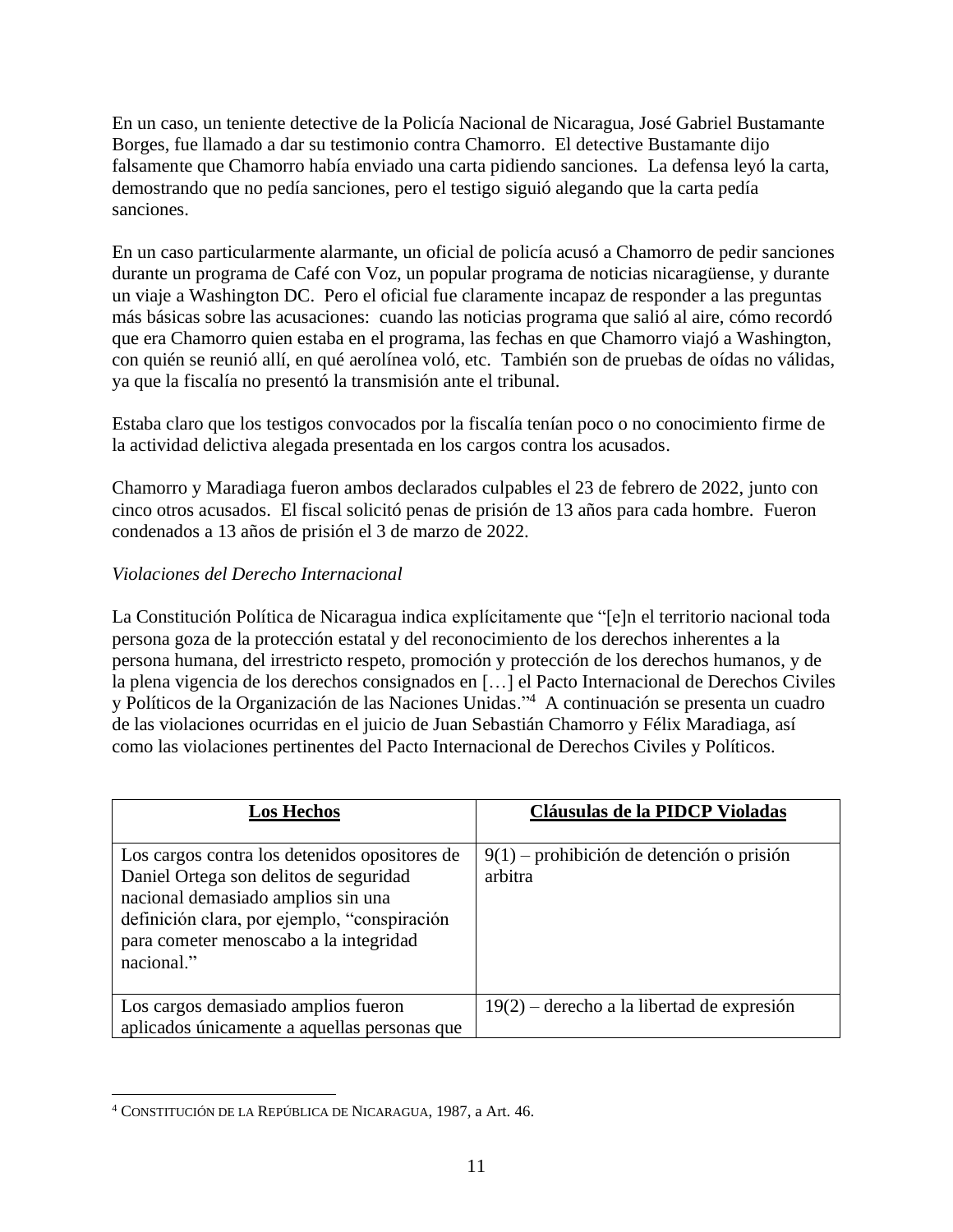En un caso, un teniente detective de la Policía Nacional de Nicaragua, José Gabriel Bustamante Borges, fue llamado a dar su testimonio contra Chamorro. El detective Bustamante dijo falsamente que Chamorro había enviado una carta pidiendo sanciones. La defensa leyó la carta, demostrando que no pedía sanciones, pero el testigo siguió alegando que la carta pedía sanciones.

En un caso particularmente alarmante, un oficial de policía acusó a Chamorro de pedir sanciones durante un programa de Café con Voz, un popular programa de noticias nicaragüense, y durante un viaje a Washington DC. Pero el oficial fue claramente incapaz de responder a las preguntas más básicas sobre las acusaciones: cuando las noticias programa que salió al aire, cómo recordó que era Chamorro quien estaba en el programa, las fechas en que Chamorro viajó a Washington, con quién se reunió allí, en qué aerolínea voló, etc. También son de pruebas de oídas no válidas, ya que la fiscalía no presentó la transmisión ante el tribunal.

Estaba claro que los testigos convocados por la fiscalía tenían poco o no conocimiento firme de la actividad delictiva alegada presentada en los cargos contra los acusados.

Chamorro y Maradiaga fueron ambos declarados culpables el 23 de febrero de 2022, junto con cinco otros acusados. El fiscal solicitó penas de prisión de 13 años para cada hombre. Fueron condenados a 13 años de prisión el 3 de marzo de 2022.

## *Violaciones del Derecho Internacional*

La Constitución Política de Nicaragua indica explícitamente que "[e]n el territorio nacional toda persona goza de la protección estatal y del reconocimiento de los derechos inherentes a la persona humana, del irrestricto respeto, promoción y protección de los derechos humanos, y de la plena vigencia de los derechos consignados en […] el Pacto Internacional de Derechos Civiles y Políticos de la Organización de las Naciones Unidas."<sup>4</sup> A continuación se presenta un cuadro de las violaciones ocurridas en el juicio de Juan Sebastián Chamorro y Félix Maradiaga, así como las violaciones pertinentes del Pacto Internacional de Derechos Civiles y Políticos.

| <b>Los Hechos</b>                                                                                                                                                                                                                     | Cláusulas de la PIDCP Violadas                         |
|---------------------------------------------------------------------------------------------------------------------------------------------------------------------------------------------------------------------------------------|--------------------------------------------------------|
| Los cargos contra los detenidos opositores de<br>Daniel Ortega son delitos de seguridad<br>nacional demasiado amplios sin una<br>definición clara, por ejemplo, "conspiración<br>para cometer menoscabo a la integridad<br>nacional." | $9(1)$ – prohibición de detención o prisión<br>arbitra |
| Los cargos demasiado amplios fueron<br>aplicados únicamente a aquellas personas que                                                                                                                                                   | $19(2)$ – derecho a la libertad de expresión           |

<sup>4</sup> CONSTITUCIÓN DE LA REPÚBLICA DE NICARAGUA, 1987, a Art. 46.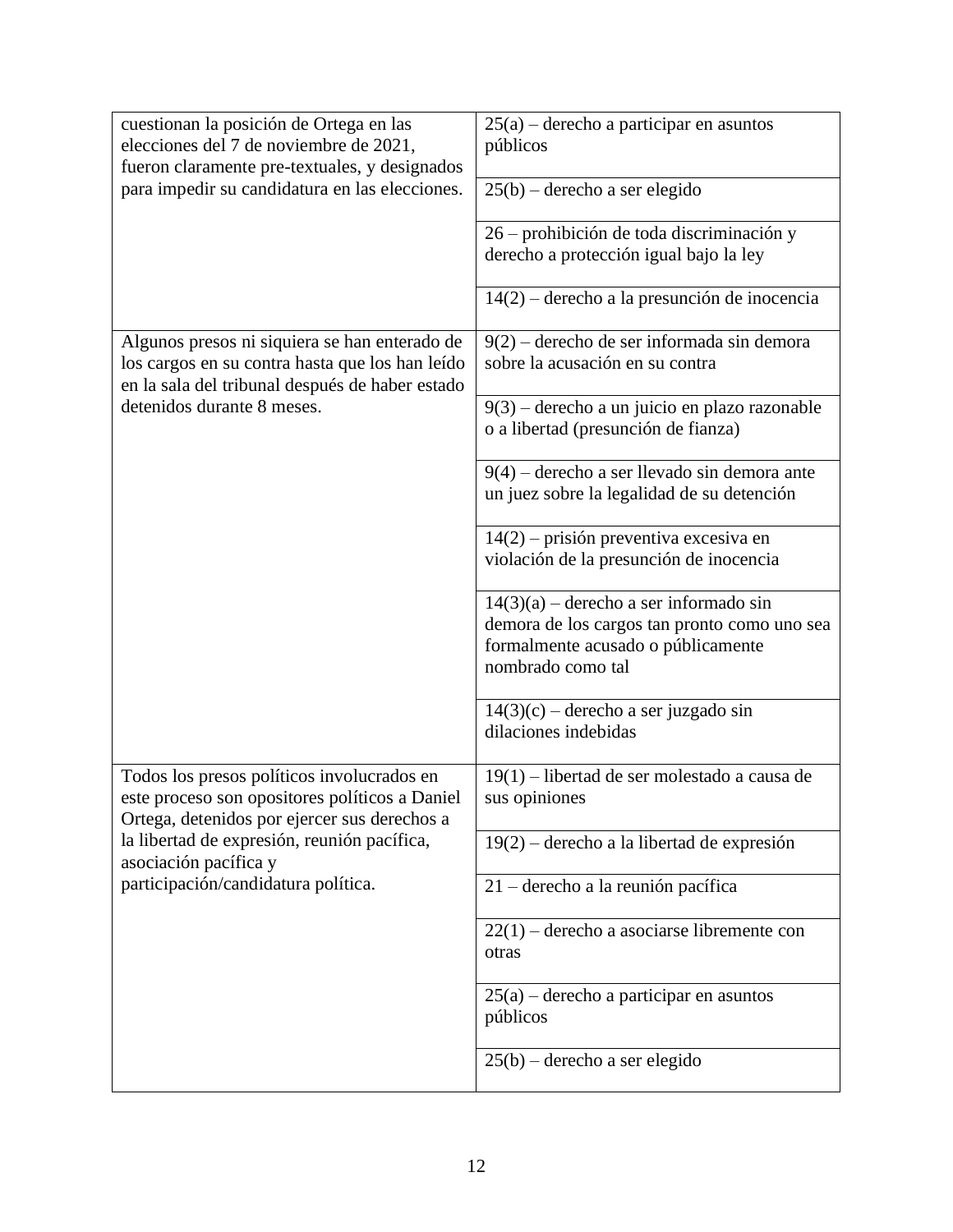| cuestionan la posición de Ortega en las<br>elecciones del 7 de noviembre de 2021,<br>fueron claramente pre-textuales, y designados                  | $25(a)$ – derecho a participar en asuntos<br>públicos                                                                                               |
|-----------------------------------------------------------------------------------------------------------------------------------------------------|-----------------------------------------------------------------------------------------------------------------------------------------------------|
| para impedir su candidatura en las elecciones.                                                                                                      | $25(b)$ – derecho a ser elegido                                                                                                                     |
|                                                                                                                                                     | 26 – prohibición de toda discriminación y<br>derecho a protección igual bajo la ley                                                                 |
|                                                                                                                                                     | $14(2)$ – derecho a la presunción de inocencia                                                                                                      |
| Algunos presos ni siquiera se han enterado de<br>los cargos en su contra hasta que los han leído<br>en la sala del tribunal después de haber estado | $9(2)$ – derecho de ser informada sin demora<br>sobre la acusación en su contra                                                                     |
| detenidos durante 8 meses.                                                                                                                          | $9(3)$ – derecho a un juicio en plazo razonable<br>o a libertad (presunción de fianza)                                                              |
|                                                                                                                                                     | $9(4)$ – derecho a ser llevado sin demora ante<br>un juez sobre la legalidad de su detención                                                        |
|                                                                                                                                                     | $14(2)$ – prisión preventiva excesiva en<br>violación de la presunción de inocencia                                                                 |
|                                                                                                                                                     | $14(3)(a)$ – derecho a ser informado sin<br>demora de los cargos tan pronto como uno sea<br>formalmente acusado o públicamente<br>nombrado como tal |
|                                                                                                                                                     | $14(3)(c)$ – derecho a ser juzgado sin<br>dilaciones indebidas                                                                                      |
| Todos los presos políticos involucrados en<br>este proceso son opositores políticos a Daniel<br>Ortega, detenidos por ejercer sus derechos a        | 19(1) – libertad de ser molestado a causa de<br>sus opiniones                                                                                       |
| la libertad de expresión, reunión pacífica,<br>asociación pacífica y                                                                                | $19(2)$ – derecho a la libertad de expresión                                                                                                        |
| participación/candidatura política.                                                                                                                 | 21 – derecho a la reunión pacífica                                                                                                                  |
|                                                                                                                                                     | $22(1)$ – derecho a asociarse libremente con<br>otras                                                                                               |
|                                                                                                                                                     | $25(a)$ – derecho a participar en asuntos<br>públicos                                                                                               |
|                                                                                                                                                     | $25(b)$ – derecho a ser elegido                                                                                                                     |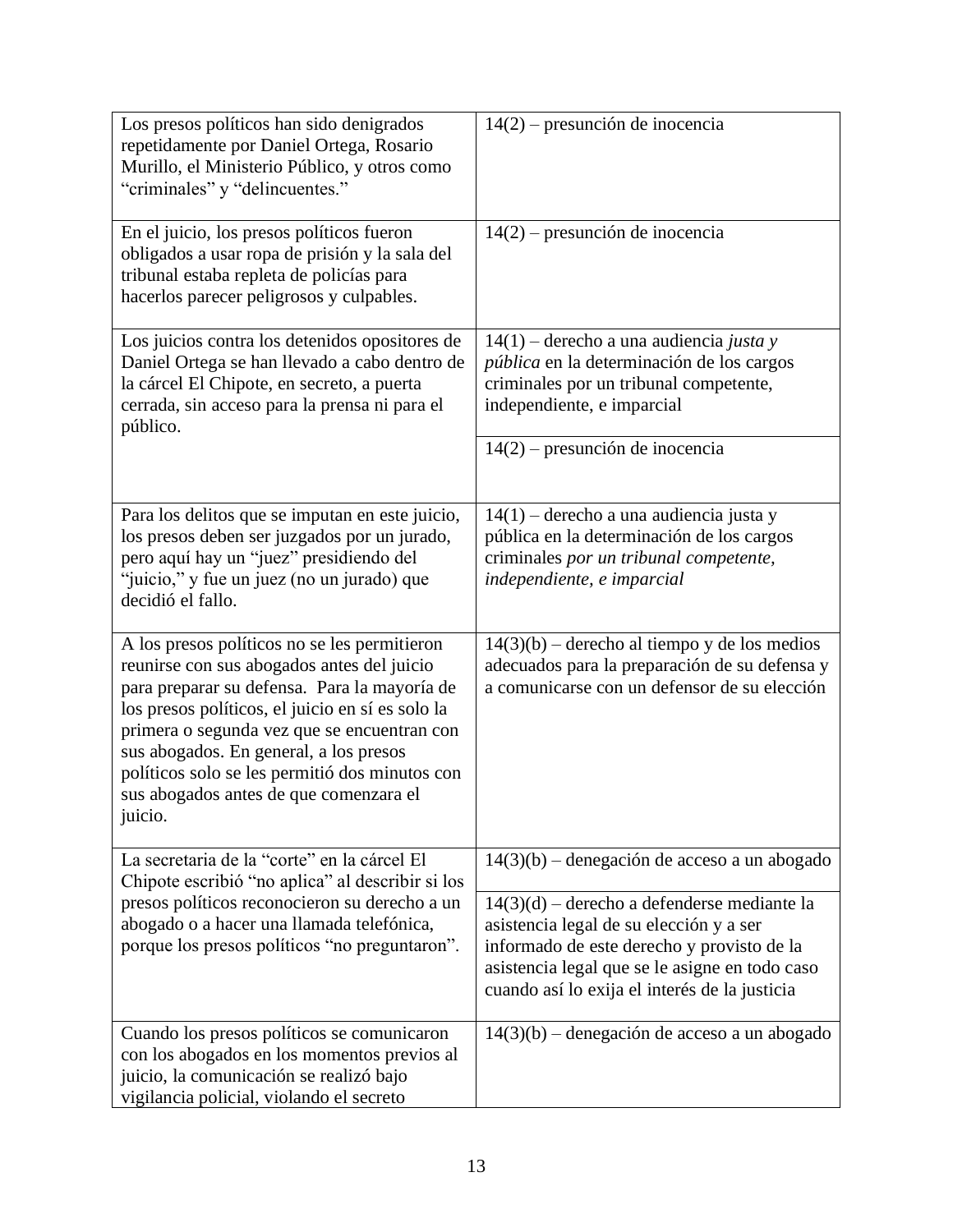| Los presos políticos han sido denigrados<br>repetidamente por Daniel Ortega, Rosario<br>Murillo, el Ministerio Público, y otros como<br>"criminales" y "delincuentes."                                                                                                                                                                                                                         | 14(2) - presunción de inocencia                                                                                                                                                                                                           |
|------------------------------------------------------------------------------------------------------------------------------------------------------------------------------------------------------------------------------------------------------------------------------------------------------------------------------------------------------------------------------------------------|-------------------------------------------------------------------------------------------------------------------------------------------------------------------------------------------------------------------------------------------|
| En el juicio, los presos políticos fueron<br>obligados a usar ropa de prisión y la sala del<br>tribunal estaba repleta de policías para<br>hacerlos parecer peligrosos y culpables.                                                                                                                                                                                                            | $14(2)$ – presunción de inocencia                                                                                                                                                                                                         |
| Los juicios contra los detenidos opositores de<br>Daniel Ortega se han llevado a cabo dentro de<br>la cárcel El Chipote, en secreto, a puerta<br>cerrada, sin acceso para la prensa ni para el<br>público.                                                                                                                                                                                     | $14(1)$ – derecho a una audiencia justa y<br>pública en la determinación de los cargos<br>criminales por un tribunal competente,<br>independiente, e imparcial                                                                            |
|                                                                                                                                                                                                                                                                                                                                                                                                | $14(2)$ – presunción de inocencia                                                                                                                                                                                                         |
| Para los delitos que se imputan en este juicio,<br>los presos deben ser juzgados por un jurado,<br>pero aquí hay un "juez" presidiendo del<br>"juicio," y fue un juez (no un jurado) que<br>decidió el fallo.                                                                                                                                                                                  | $14(1)$ – derecho a una audiencia justa y<br>pública en la determinación de los cargos<br>criminales por un tribunal competente,<br>independiente, e imparcial                                                                            |
| A los presos políticos no se les permitieron<br>reunirse con sus abogados antes del juicio<br>para preparar su defensa. Para la mayoría de<br>los presos políticos, el juicio en sí es solo la<br>primera o segunda vez que se encuentran con<br>sus abogados. En general, a los presos<br>políticos solo se les permitió dos minutos con<br>sus abogados antes de que comenzara el<br>juicio. | $14(3)(b)$ – derecho al tiempo y de los medios<br>adecuados para la preparación de su defensa y<br>a comunicarse con un defensor de su elección                                                                                           |
| La secretaria de la "corte" en la cárcel El<br>Chipote escribió "no aplica" al describir si los<br>presos políticos reconocieron su derecho a un<br>abogado o a hacer una llamada telefónica,<br>porque los presos políticos "no preguntaron".                                                                                                                                                 | $14(3)(b)$ – denegación de acceso a un abogado                                                                                                                                                                                            |
|                                                                                                                                                                                                                                                                                                                                                                                                | $14(3)(d)$ – derecho a defenderse mediante la<br>asistencia legal de su elección y a ser<br>informado de este derecho y provisto de la<br>asistencia legal que se le asigne en todo caso<br>cuando así lo exija el interés de la justicia |
| Cuando los presos políticos se comunicaron<br>con los abogados en los momentos previos al<br>juicio, la comunicación se realizó bajo<br>vigilancia policial, violando el secreto                                                                                                                                                                                                               | $14(3)(b)$ – denegación de acceso a un abogado                                                                                                                                                                                            |